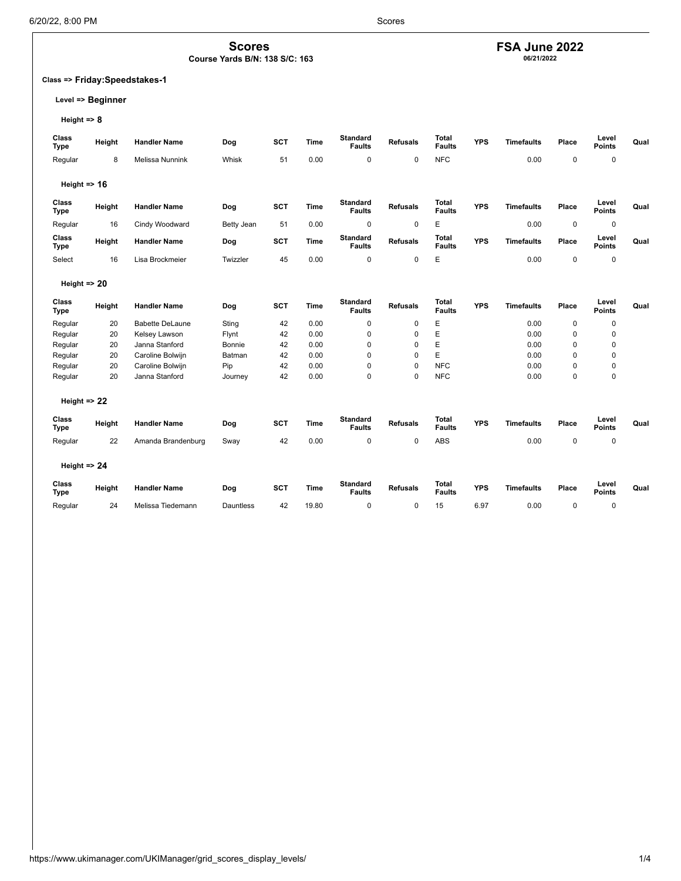**Scores Course Yards B/N: 138 S/C: 163**

## **FSA June 2022 06/21/2022**

### **Class => Friday:Speedstakes-1**

### **Level => Beginner**

**Height => 8**

| <b>Class</b><br><b>Type</b> | Height | <b>Handler Name</b>    | Dog        | <b>SCT</b> | <b>Time</b> | <b>Standard</b><br><b>Faults</b> | <b>Refusals</b> | Total<br><b>Faults</b>        | <b>YPS</b> | <b>Timefaults</b> | Place       | Level<br><b>Points</b> | Qual |
|-----------------------------|--------|------------------------|------------|------------|-------------|----------------------------------|-----------------|-------------------------------|------------|-------------------|-------------|------------------------|------|
| Regular                     | 8      | <b>Melissa Nunnink</b> | Whisk      | 51         | 0.00        | $\mathbf 0$                      | $\mathbf 0$     | <b>NFC</b>                    |            | 0.00              | $\mathbf 0$ | $\mathbf 0$            |      |
| Height $\Rightarrow$ 16     |        |                        |            |            |             |                                  |                 |                               |            |                   |             |                        |      |
| Class<br><b>Type</b>        | Height | <b>Handler Name</b>    | Dog        | <b>SCT</b> | <b>Time</b> | <b>Standard</b><br><b>Faults</b> | <b>Refusals</b> | <b>Total</b><br><b>Faults</b> | <b>YPS</b> | <b>Timefaults</b> | Place       | Level<br><b>Points</b> | Qual |
| Regular                     | 16     | Cindy Woodward         | Betty Jean | 51         | 0.00        | $\mathbf 0$                      | $\mathbf 0$     | E                             |            | 0.00              | 0           | $\pmb{0}$              |      |
| Class<br><b>Type</b>        | Height | <b>Handler Name</b>    | Dog        | <b>SCT</b> | <b>Time</b> | <b>Standard</b><br><b>Faults</b> | <b>Refusals</b> | <b>Total</b><br><b>Faults</b> | <b>YPS</b> | <b>Timefaults</b> | Place       | Level<br><b>Points</b> | Qual |
| Select                      | 16     | Lisa Brockmeier        | Twizzler   | 45         | 0.00        | $\mathbf 0$                      | $\mathbf 0$     | E                             |            | 0.00              | $\pmb{0}$   | $\pmb{0}$              |      |
| Height $\Rightarrow$ 20     |        |                        |            |            |             |                                  |                 |                               |            |                   |             |                        |      |
| Class<br><b>Type</b>        | Height | <b>Handler Name</b>    | Dog        | <b>SCT</b> | <b>Time</b> | <b>Standard</b><br><b>Faults</b> | <b>Refusals</b> | <b>Total</b><br><b>Faults</b> | <b>YPS</b> | <b>Timefaults</b> | Place       | Level<br><b>Points</b> | Qual |
| Regular                     | 20     | <b>Babette DeLaune</b> | Sting      | 42         | 0.00        | $\mathbf 0$                      | $\mathbf 0$     | E                             |            | 0.00              | $\mathbf 0$ | $\mathbf 0$            |      |
| Regular                     | 20     | Kelsey Lawson          | Flynt      | 42         | 0.00        | $\mathbf 0$                      | $\mathbf 0$     | E                             |            | 0.00              | $\Omega$    | 0                      |      |
| Regular                     | 20     | Janna Stanford         | Bonnie     | 42         | 0.00        | $\mathbf 0$                      | $\mathbf 0$     | E                             |            | 0.00              | $\Omega$    | 0                      |      |
| Regular                     | 20     | Caroline Bolwijn       | Batman     | 42         | 0.00        | $\mathbf 0$                      | $\mathbf 0$     | E                             |            | 0.00              | $\mathbf 0$ | 0                      |      |
| Regular                     | 20     | Caroline Bolwijn       | Pip        | 42         | 0.00        | $\mathbf 0$                      | $\Omega$        | <b>NFC</b>                    |            | 0.00              | $\mathbf 0$ | 0                      |      |
| Regular                     | 20     | Janna Stanford         | Journey    | 42         | 0.00        | 0                                | $\Omega$        | <b>NFC</b>                    |            | 0.00              | $\mathbf 0$ | 0                      |      |
| Height $\Rightarrow$ 22     |        |                        |            |            |             |                                  |                 |                               |            |                   |             |                        |      |
| Class<br><b>Type</b>        | Height | <b>Handler Name</b>    | Dog        | <b>SCT</b> | <b>Time</b> | <b>Standard</b><br><b>Faults</b> | <b>Refusals</b> | <b>Total</b><br><b>Faults</b> | <b>YPS</b> | <b>Timefaults</b> | Place       | Level<br>Points        | Qual |
| Regular                     | 22     | Amanda Brandenburg     | Sway       | 42         | 0.00        | 0                                | $\mathbf 0$     | ABS                           |            | 0.00              | $\pmb{0}$   | $\mathbf 0$            |      |
| Height $\Rightarrow$ 24     |        |                        |            |            |             |                                  |                 |                               |            |                   |             |                        |      |
| Class<br><b>Type</b>        | Height | <b>Handler Name</b>    | Dog        | <b>SCT</b> | Time        | <b>Standard</b><br><b>Faults</b> | <b>Refusals</b> | <b>Total</b><br><b>Faults</b> | <b>YPS</b> | <b>Timefaults</b> | Place       | Level<br><b>Points</b> | Qual |
| Regular                     | 24     | Melissa Tiedemann      | Dauntless  | 42         | 19.80       | 0                                | $\mathbf 0$     | 15                            | 6.97       | 0.00              | $\mathbf 0$ | $\mathbf 0$            |      |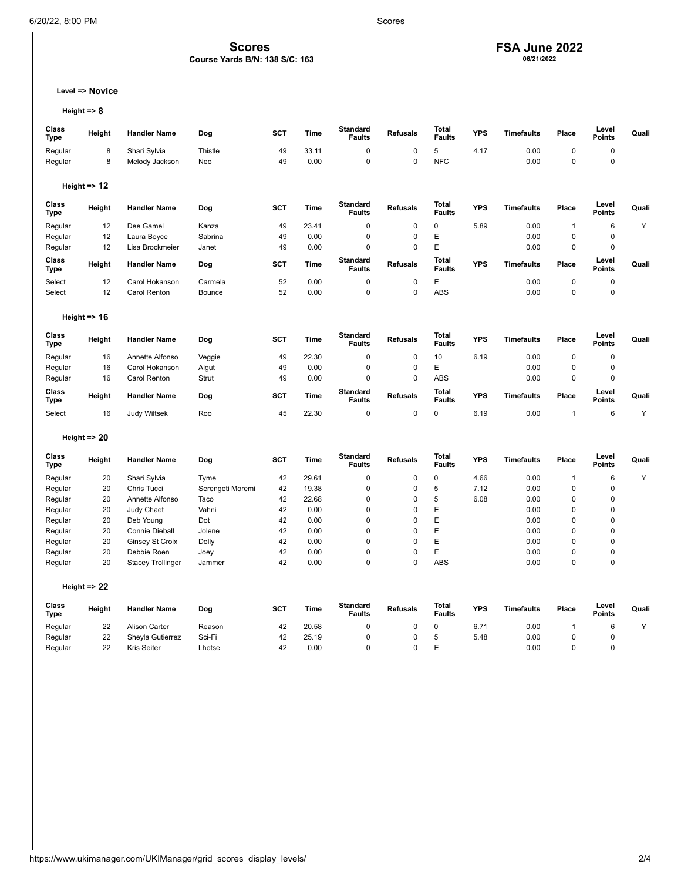### **Scores Course Yards B/N: 138 S/C: 163**

## **FSA June 2022 06/21/2022**

### **Level => Novice**

```
Height => 8
```

| Class<br><b>Type</b> | Height                  | <b>Handler Name</b>      | Dog              | <b>SCT</b> | Time        | <b>Standard</b><br><b>Faults</b> | <b>Refusals</b> | <b>Total</b><br><b>Faults</b> | <b>YPS</b> | <b>Timefaults</b> | Place        | Level<br>Points        | Quali |
|----------------------|-------------------------|--------------------------|------------------|------------|-------------|----------------------------------|-----------------|-------------------------------|------------|-------------------|--------------|------------------------|-------|
| Regular              | 8                       | Shari Sylvia             | Thistle          | 49         | 33.11       | 0                                | 0               | 5                             | 4.17       | 0.00              | $\mathbf 0$  | $\pmb{0}$              |       |
| Regular              | 8                       | Melody Jackson           | Neo              | 49         | 0.00        | $\mathbf 0$                      | 0               | <b>NFC</b>                    |            | 0.00              | $\pmb{0}$    | $\pmb{0}$              |       |
|                      |                         |                          |                  |            |             |                                  |                 |                               |            |                   |              |                        |       |
|                      | Height $\Rightarrow$ 12 |                          |                  |            |             |                                  |                 |                               |            |                   |              |                        |       |
| Class<br><b>Type</b> | Height                  | <b>Handler Name</b>      | Dog              | <b>SCT</b> | <b>Time</b> | <b>Standard</b><br><b>Faults</b> | <b>Refusals</b> | <b>Total</b><br><b>Faults</b> | <b>YPS</b> | <b>Timefaults</b> | Place        | Level<br><b>Points</b> | Quali |
| Regular              | 12                      | Dee Gamel                | Kanza            | 49         | 23.41       | $\pmb{0}$                        | 0               | $\pmb{0}$                     | 5.89       | 0.00              | $\mathbf{1}$ | $\,6\,$                | Y     |
| Regular              | 12                      | Laura Boyce              | Sabrina          | 49         | 0.00        | $\pmb{0}$                        | 0               | E                             |            | 0.00              | $\mathbf 0$  | $\pmb{0}$              |       |
| Regular              | 12                      | Lisa Brockmeier          | Janet            | 49         | 0.00        | $\pmb{0}$                        | 0               | E                             |            | 0.00              | $\pmb{0}$    | $\pmb{0}$              |       |
| Class<br><b>Type</b> | Height                  | <b>Handler Name</b>      | Dog              | <b>SCT</b> | <b>Time</b> | <b>Standard</b><br><b>Faults</b> | <b>Refusals</b> | <b>Total</b><br><b>Faults</b> | <b>YPS</b> | <b>Timefaults</b> | Place        | Level<br><b>Points</b> | Quali |
| Select               | 12                      | Carol Hokanson           | Carmela          | 52         | 0.00        | 0                                | $\mathbf 0$     | Ε                             |            | 0.00              | $\pmb{0}$    | $\pmb{0}$              |       |
| Select               | 12                      | Carol Renton             | Bounce           | 52         | 0.00        | $\mathbf 0$                      | $\mathbf 0$     | ABS                           |            | 0.00              | $\mathbf 0$  | 0                      |       |
|                      |                         |                          |                  |            |             |                                  |                 |                               |            |                   |              |                        |       |
|                      | Height $\approx$ 16     |                          |                  |            |             |                                  |                 |                               |            |                   |              |                        |       |
| Class<br><b>Type</b> | Height                  | <b>Handler Name</b>      | Dog              | <b>SCT</b> | <b>Time</b> | <b>Standard</b><br><b>Faults</b> | <b>Refusals</b> | <b>Total</b><br><b>Faults</b> | <b>YPS</b> | <b>Timefaults</b> | Place        | Level<br><b>Points</b> | Quali |
| Regular              | 16                      | Annette Alfonso          | Veggie           | 49         | 22.30       | $\pmb{0}$                        | 0               | 10                            | 6.19       | 0.00              | $\pmb{0}$    | $\pmb{0}$              |       |
| Regular              | 16                      | Carol Hokanson           | Algut            | 49         | 0.00        | $\mathbf 0$                      | $\mathbf 0$     | E                             |            | 0.00              | $\mathbf 0$  | $\pmb{0}$              |       |
| Regular              | 16                      | Carol Renton             | Strut            | 49         | 0.00        | $\pmb{0}$                        | 0               | ABS                           |            | 0.00              | $\pmb{0}$    | $\pmb{0}$              |       |
| Class<br><b>Type</b> | Height                  | <b>Handler Name</b>      | Dog              | <b>SCT</b> | <b>Time</b> | Standard<br><b>Faults</b>        | <b>Refusals</b> | <b>Total</b><br><b>Faults</b> | <b>YPS</b> | <b>Timefaults</b> | Place        | Level<br>Points        | Quali |
| Select               | 16                      | <b>Judy Wiltsek</b>      | Roo              | 45         | 22.30       | 0                                | 0               | 0                             | 6.19       | 0.00              | $\mathbf{1}$ | $\,6$                  | Y     |
|                      | Height $\Rightarrow$ 20 |                          |                  |            |             |                                  |                 |                               |            |                   |              |                        |       |
|                      |                         |                          |                  |            |             |                                  |                 |                               |            |                   |              |                        |       |
| Class<br><b>Type</b> | Height                  | <b>Handler Name</b>      | Dog              | <b>SCT</b> | <b>Time</b> | <b>Standard</b><br><b>Faults</b> | <b>Refusals</b> | <b>Total</b><br><b>Faults</b> | <b>YPS</b> | <b>Timefaults</b> | Place        | Level<br><b>Points</b> | Quali |
| Regular              | 20                      | Shari Sylvia             | Tyme             | 42         | 29.61       | $\pmb{0}$                        | 0               | $\pmb{0}$                     | 4.66       | 0.00              | $\mathbf{1}$ | $\,6$                  | Y     |
| Regular              | 20                      | Chris Tucci              | Serengeti Moremi | 42         | 19.38       | $\mathbf 0$                      | $\mathbf 0$     | 5                             | 7.12       | 0.00              | $\mathbf 0$  | 0                      |       |
| Regular              | 20                      | Annette Alfonso          | Taco             | 42         | 22.68       | $\pmb{0}$                        | 0               | 5                             | 6.08       | 0.00              | $\pmb{0}$    | 0                      |       |
| Regular              | 20                      | Judy Chaet               | Vahni            | 42         | 0.00        | $\pmb{0}$                        | $\mathbf 0$     | E                             |            | 0.00              | $\mathbf 0$  | 0                      |       |
| Regular              | 20                      | Deb Young                | Dot              | 42         | 0.00        | $\pmb{0}$                        | 0               | Ε                             |            | 0.00              | $\mathbf 0$  | 0                      |       |
| Regular              | 20                      | <b>Connie Dieball</b>    | Jolene           | 42         | 0.00        | $\mathbf 0$                      | $\mathbf 0$     | E                             |            | 0.00              | $\mathbf 0$  | 0                      |       |
| Regular              | 20                      | <b>Ginsey St Croix</b>   | Dolly            | 42         | 0.00        | $\pmb{0}$                        | 0               | Ε                             |            | 0.00              | $\mathbf 0$  | 0                      |       |
| Regular              | 20                      | Debbie Roen              | Joey             | 42         | 0.00        | $\pmb{0}$                        | $\mathbf 0$     | E                             |            | 0.00              | $\mathbf 0$  | 0                      |       |
| Regular              | 20                      | <b>Stacey Trollinger</b> | Jammer           | 42         | 0.00        | $\mathbf 0$                      | $\Omega$        | <b>ABS</b>                    |            | 0.00              | $\mathbf 0$  | 0                      |       |
|                      | Height $\Rightarrow$ 22 |                          |                  |            |             |                                  |                 |                               |            |                   |              |                        |       |
| Class<br><b>Type</b> | Height                  | <b>Handler Name</b>      | Dog              | <b>SCT</b> | <b>Time</b> | <b>Standard</b><br><b>Faults</b> | <b>Refusals</b> | Total<br><b>Faults</b>        | <b>YPS</b> | <b>Timefaults</b> | Place        | Level<br><b>Points</b> | Quali |
| Regular              | 22                      | <b>Alison Carter</b>     | Reason           | 42         | 20.58       | $\Omega$                         | $\Omega$        | $\mathbf 0$                   | 6.71       | 0.00              | $\mathbf{1}$ | 6                      | Y     |
| Regular              | 22                      | Sheyla Gutierrez         | Sci-Fi           | 42         | 25.19       | $\mathbf 0$                      | $\mathbf 0$     | 5                             | 5.48       | 0.00              | $\mathbf 0$  | 0                      |       |
| Regular              | 22                      | <b>Kris Seiter</b>       | Lhotse           | 42         | 0.00        | $\Omega$                         | $\Omega$        | E                             |            | 0.00              | $\Omega$     | $\Omega$               |       |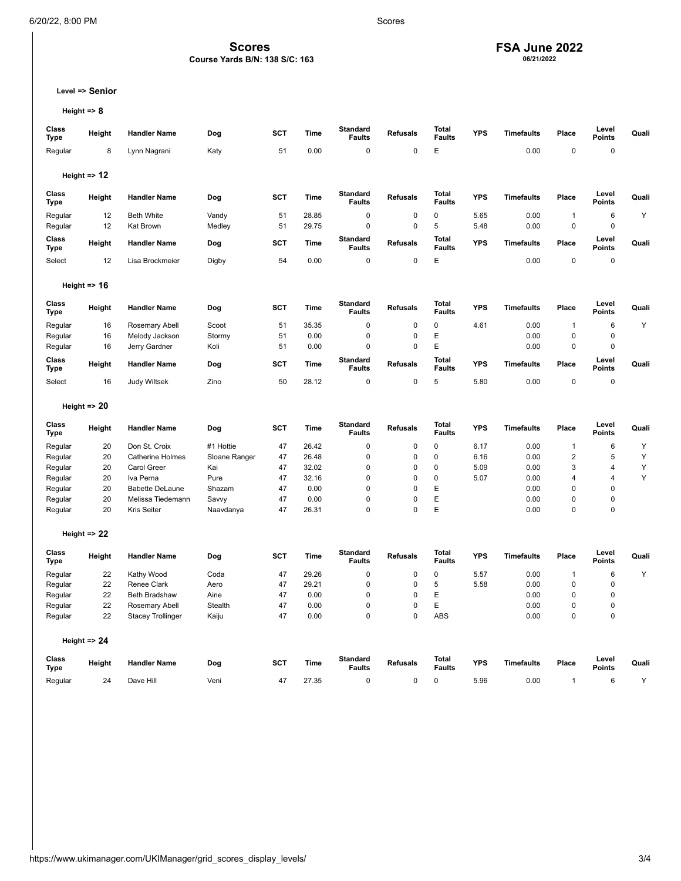### **Scores**

### **Course Yards B/N: 138 S/C: 163**

## **FSA June 2022 06/21/2022**

**Level => Senior**

```
Height => 8
```

| Class<br>Type        | Height                  | <b>Handler Name</b>              | Dog                | <b>SCT</b> | Time          | <b>Standard</b><br><b>Faults</b> | <b>Refusals</b>            | <b>Total</b><br><b>Faults</b> | <b>YPS</b> | <b>Timefaults</b> | Place                       | Level<br><b>Points</b> | Quali |
|----------------------|-------------------------|----------------------------------|--------------------|------------|---------------|----------------------------------|----------------------------|-------------------------------|------------|-------------------|-----------------------------|------------------------|-------|
| Regular              | 8                       | Lynn Nagrani                     | Katy               | 51         | 0.00          | $\mathbf 0$                      | $\mathbf 0$                | E                             |            | 0.00              | $\pmb{0}$                   | $\pmb{0}$              |       |
|                      | Height $\Rightarrow$ 12 |                                  |                    |            |               |                                  |                            |                               |            |                   |                             |                        |       |
| Class<br><b>Type</b> | Height                  | <b>Handler Name</b>              | Dog                | <b>SCT</b> | <b>Time</b>   | <b>Standard</b><br><b>Faults</b> | <b>Refusals</b>            | Total<br><b>Faults</b>        | <b>YPS</b> | <b>Timefaults</b> | Place                       | Level<br>Points        | Quali |
| Regular              | 12                      | <b>Beth White</b>                | Vandy              | 51         | 28.85         | 0                                | 0                          | 0                             | 5.65       | 0.00              | $\mathbf{1}$                | 6                      | Υ     |
| Regular              | 12                      | Kat Brown                        | Medley             | 51         | 29.75         | 0                                | $\mathbf 0$                | 5                             | 5.48       | 0.00              | $\mathbf 0$                 | $\pmb{0}$              |       |
| Class<br><b>Type</b> | Height                  | <b>Handler Name</b>              | Dog                | <b>SCT</b> | Time          | <b>Standard</b><br><b>Faults</b> | <b>Refusals</b>            | <b>Total</b><br><b>Faults</b> | <b>YPS</b> | <b>Timefaults</b> | Place                       | Level<br><b>Points</b> | Quali |
| Select               | 12                      | Lisa Brockmeier                  | Digby              | 54         | 0.00          | 0                                | 0                          | E                             |            | 0.00              | $\mathbf 0$                 | 0                      |       |
|                      | Height $\approx$ 16     |                                  |                    |            |               |                                  |                            |                               |            |                   |                             |                        |       |
| Class<br><b>Type</b> | Height                  | <b>Handler Name</b>              | Dog                | <b>SCT</b> | <b>Time</b>   | <b>Standard</b><br><b>Faults</b> | <b>Refusals</b>            | <b>Total</b><br><b>Faults</b> | <b>YPS</b> | <b>Timefaults</b> | Place                       | Level<br><b>Points</b> | Quali |
| Regular              | 16                      | Rosemary Abell                   | Scoot              | 51         | 35.35         | 0                                | 0                          | $\mathbf 0$                   | 4.61       | 0.00              | $\mathbf{1}$                | 6                      | Y     |
| Regular              | 16                      | Melody Jackson                   | Stormy             | 51         | 0.00          | 0                                | 0                          | E                             |            | 0.00              | $\mathbf 0$                 | 0                      |       |
| Regular              | 16                      | Jerry Gardner                    | Koli               | 51         | 0.00          | 0                                | $\mathbf 0$                | E                             |            | 0.00              | $\mathbf 0$                 | $\mathbf 0$            |       |
| Class<br><b>Type</b> | Height                  | <b>Handler Name</b>              | Dog                | <b>SCT</b> | Time          | <b>Standard</b><br><b>Faults</b> | <b>Refusals</b>            | <b>Total</b><br><b>Faults</b> | <b>YPS</b> | <b>Timefaults</b> | Place                       | Level<br><b>Points</b> | Quali |
| Select               | 16                      | <b>Judy Wiltsek</b>              | Zino               | 50         | 28.12         | 0                                | 0                          | 5                             | 5.80       | 0.00              | $\mathbf 0$                 | 0                      |       |
|                      | Height $\Rightarrow$ 20 |                                  |                    |            |               |                                  |                            |                               |            |                   |                             |                        |       |
| Class<br><b>Type</b> | Height                  | <b>Handler Name</b>              | Dog                | <b>SCT</b> | <b>Time</b>   | <b>Standard</b><br><b>Faults</b> | <b>Refusals</b>            | <b>Total</b><br><b>Faults</b> | <b>YPS</b> | <b>Timefaults</b> | Place                       | Level<br><b>Points</b> | Quali |
| Regular              | 20                      | Don St. Croix                    | #1 Hottie          | 47         | 26.42         | 0                                | 0                          | 0                             | 6.17       | 0.00              | $\mathbf{1}$                | 6                      | Υ     |
| Regular              | 20                      | <b>Catherine Holmes</b>          | Sloane Ranger      | 47         | 26.48         | 0                                | $\mathbf 0$                | $\mathbf 0$                   | 6.16       | 0.00              | $\overline{\mathbf{c}}$     | 5                      | Υ     |
| Regular              | 20                      | <b>Carol Greer</b>               | Kai                | 47         | 32.02         | 0                                | $\mathbf 0$                | $\mathbf 0$                   | 5.09       | 0.00              | 3                           | 4                      | Υ     |
| Regular              | 20                      | Iva Perna                        | Pure               | 47         | 32.16         | $\mathbf 0$                      | $\mathbf 0$                | $\mathbf 0$                   | 5.07       | 0.00              | $\overline{4}$              | $\overline{4}$         | Y     |
| Regular              | 20                      | <b>Babette DeLaune</b>           | Shazam             | 47         | 0.00          | 0                                | $\mathbf 0$                | Ε                             |            | 0.00              | $\mathbf 0$                 | $\mathbf 0$            |       |
| Regular<br>Regular   | 20<br>20                | Melissa Tiedemann<br>Kris Seiter | Savvy<br>Naavdanya | 47<br>47   | 0.00<br>26.31 | $\mathbf 0$<br>0                 | $\mathbf 0$<br>$\mathbf 0$ | E<br>E                        |            | 0.00<br>0.00      | $\mathbf 0$<br>$\mathbf{0}$ | $\mathbf 0$<br>0       |       |
|                      |                         |                                  |                    |            |               |                                  |                            |                               |            |                   |                             |                        |       |
|                      | Height $\Rightarrow$ 22 |                                  |                    |            |               |                                  |                            |                               |            |                   |                             |                        |       |
| Class<br><b>Type</b> | Height                  | <b>Handler Name</b>              | Dog                | SCT        | <b>Time</b>   | <b>Standard</b><br><b>Faults</b> | <b>Refusals</b>            | <b>Total</b><br><b>Faults</b> | <b>YPS</b> | <b>Timefaults</b> | Place                       | Level<br><b>Points</b> | Quali |
| Regular              | 22                      | Kathy Wood                       | Coda               | 47         | 29.26         | 0                                | $\mathbf 0$                | $\mathbf 0$                   | 5.57       | 0.00              | $\mathbf{1}$                | 6                      | Υ     |
| Regular              | 22                      | Renee Clark                      | Aero               | 47         | 29.21         | 0                                | 0                          | 5                             | 5.58       | 0.00              | $\mathbf 0$                 | $\pmb{0}$              |       |
| Regular              | 22                      | <b>Beth Bradshaw</b>             | Aine               | 47         | 0.00          | $\mathbf 0$                      | $\mathbf 0$                | E                             |            | 0.00              | $\mathbf 0$                 | $\pmb{0}$              |       |
| Regular              | 22                      | Rosemary Abell                   | Stealth            | 47         | 0.00          | $\mathbf 0$                      | 0                          | E                             |            | 0.00              | $\mathbf{0}$                | $\pmb{0}$              |       |
| Regular              | 22                      | <b>Stacey Trollinger</b>         | Kaiju              | 47         | 0.00          | 0                                | $\mathbf 0$                | ABS                           |            | 0.00              | $\mathbf 0$                 | 0                      |       |
|                      | Height $\Rightarrow$ 24 |                                  |                    |            |               |                                  |                            |                               |            |                   |                             |                        |       |
| Class<br><b>Type</b> | Height                  | <b>Handler Name</b>              | Dog                | SCT        | <b>Time</b>   | <b>Standard</b><br><b>Faults</b> | <b>Refusals</b>            | <b>Total</b><br><b>Faults</b> | <b>YPS</b> | <b>Timefaults</b> | Place                       | Level<br><b>Points</b> | Quali |
| Regular              | 24                      | Dave Hill                        | Veni               | 47         | 27.35         | $\Omega$                         | $\mathbf 0$                | $\mathbf 0$                   | 5.96       | 0.00              | $\mathbf{1}$                | 6                      | Y     |